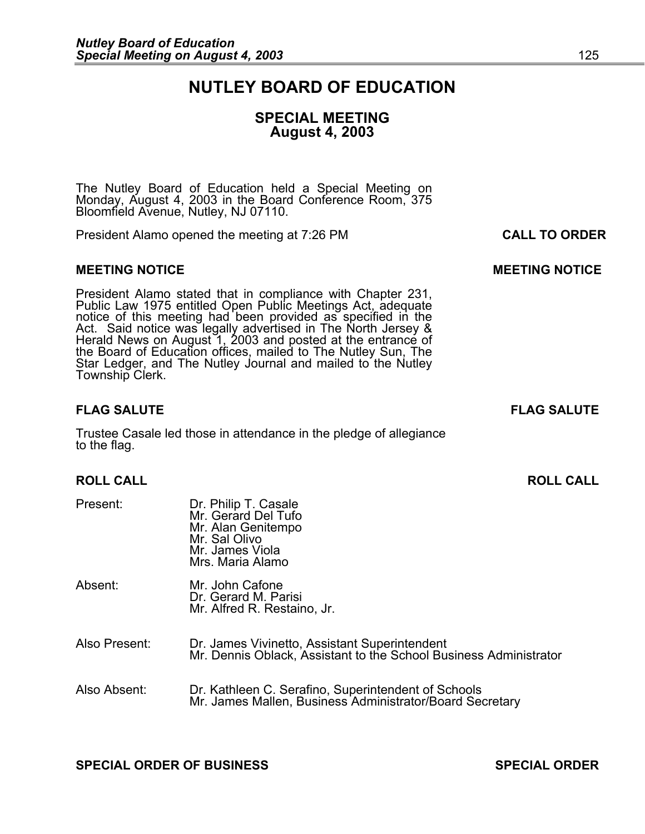# **NUTLEY BOARD OF EDUCATION**

## **SPECIAL MEETING August 4, 2003**

The Nutley Board of Education held a Special Meeting on Monday, August 4, 2003 in the Board Conference Room, 375 Bloomfield Avenue, Nutley, NJ 07110.

President Alamo opened the meeting at 7:26 PM **CALL TO ORDER**

#### **MEETING NOTICE CONSUMING A REAL PROPERTY CONSUMING MANUFACTION CONSUMING MANUFACTION CONSUMING MANUFACTION**

President Alamo stated that in compliance with Chapter 231,<br>Public Law 1975 entitled Open Public Meetings Act, adequate<br>notice of this meeting had been provided as specified in the<br>Act. Said notice was legally advertised i Star Ledger, and The Nutley Journal and mailed to the Nutley<br>Township Clerk.

#### **FLAG SALUTE FLAG SALUTE**

Trustee Casale led those in attendance in the pledge of allegiance to the flag.

#### **ROLL CALL ROLL CALL**

| Present:      | Dr. Philip T. Casale<br>Mr. Gerard Del Tufo<br>Mr. Alan Genitempo<br>Mr. Sal Olivo<br>Mr. James Viola<br>Mrs. Maria Alamo |
|---------------|---------------------------------------------------------------------------------------------------------------------------|
| Absent:       | Mr. John Cafone<br>Dr. Gerard M. Parisi<br>Mr. Alfred R. Restaino, Jr.                                                    |
| Also Present: | Dr. James Vivinetto, Assistant Superintendent<br>Mr. Dennis Oblack, Assistant to the School Business Administrator        |
| Also Absent:  | Dr. Kathleen C. Serafino, Superintendent of Schools<br>Mr. James Mallen, Business Administrator/Board Secretary           |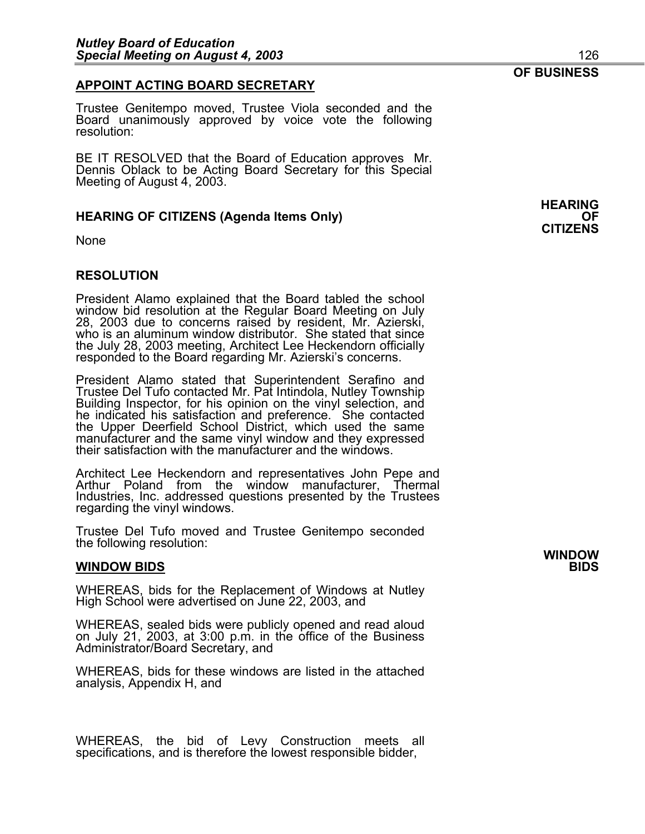#### **APPOINT ACTING BOARD SECRETARY**

Trustee Genitempo moved, Trustee Viola seconded and the Board unanimously approved by voice vote the following resolution:

BE IT RESOLVED that the Board of Education approves Mr. Dennis Oblack to be Acting Board Secretary for this Special Meeting of August 4, 2003.

#### **HEARING OF CITIZENS (Agenda Items Only)**

None

#### **RESOLUTION**

President Alamo explained that the Board tabled the school window bid resolution at the Regular Board Meeting on July 28, 2003 due to concerns raised by resident, Mr. Azierski, who is an aluminum window distributor. She stated that since the July 28, 2003 meeting, Architect Lee Heckendorn officially responded to the Board regarding Mr. Azierski's concerns.

President Alamo stated that Superintendent Serafino and<br>Trustee Del Tufo contacted Mr. Pat Intindola, Nutley Township<br>Building Inspector, for his opinion on the vinyl selection, and<br>he indicated his satisfaction and prefer manufacturer and the same vinyl window and they expressed<br>their satisfaction with the manufacturer and the windows.

Architect Lee Heckendorn and representatives John Pepe and Arthur Poland from the window manufacturer, Thermal Industries, Inc. addressed questions presented by the Trustees regarding the vinyl windows.

Trustee Del Tufo moved and Trustee Genitempo seconded the following resolution:

#### **WINDOW BIDS**

WHEREAS, bids for the Replacement of Windows at Nutley High School were advertised on June 22, 2003, and

WHEREAS, sealed bids were publicly opened and read aloud on July 21, 2003, at 3:00 p.m. in the office of the Business Administrator/Board Secretary, and

WHEREAS, bids for these windows are listed in the attached analysis, Appendix H, and

WHEREAS, the bid of Levy Construction meets all specifications, and is therefore the lowest responsible bidder,

**HEARING CITIZENS**